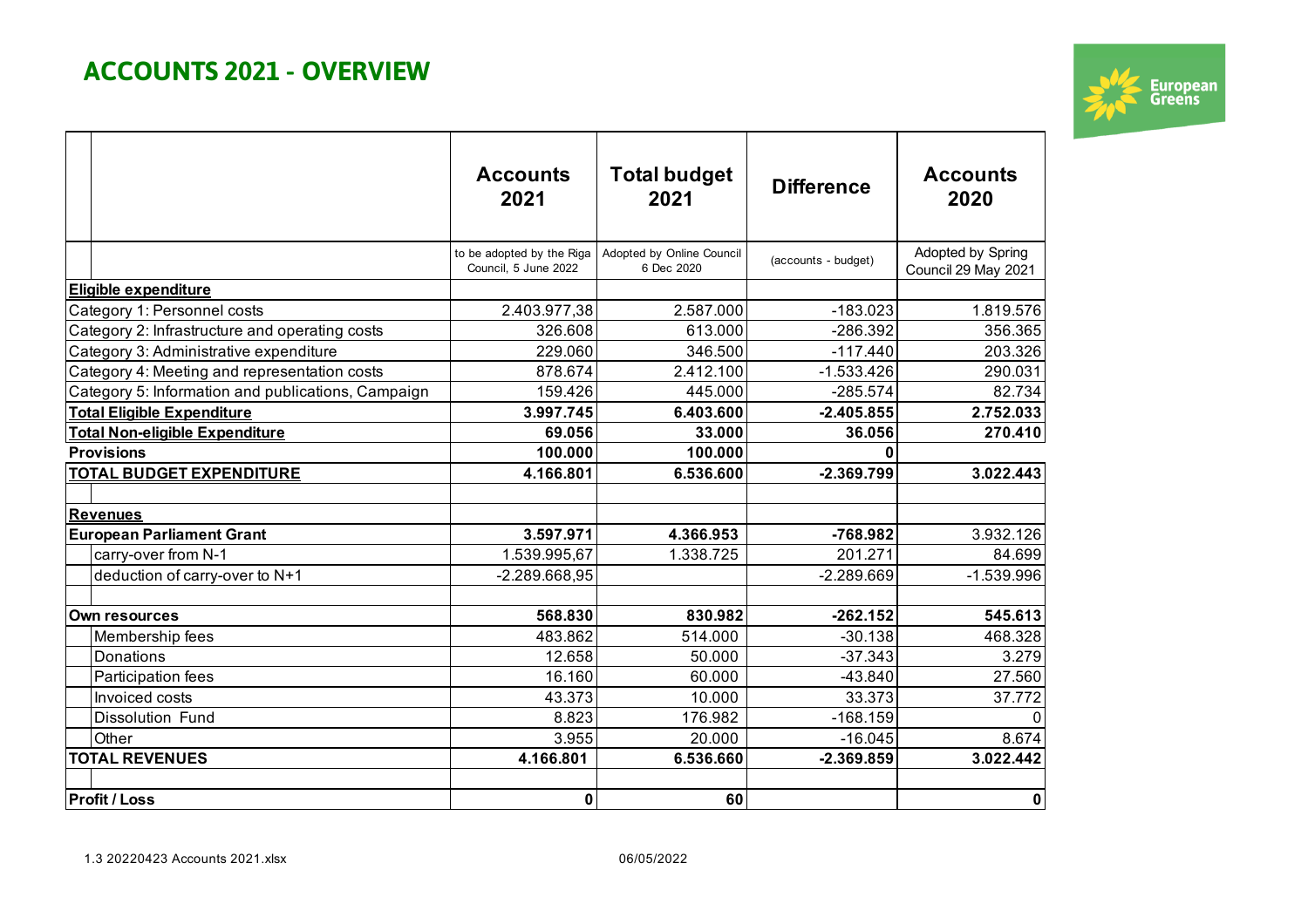# **ACCOUNTS 2021 - OVERVIEW**



|                                   |                                                    | <b>Accounts</b><br>2021                           | <b>Total budget</b><br>2021             | <b>Difference</b>   | <b>Accounts</b><br>2020                  |
|-----------------------------------|----------------------------------------------------|---------------------------------------------------|-----------------------------------------|---------------------|------------------------------------------|
|                                   |                                                    | to be adopted by the Riga<br>Council. 5 June 2022 | Adopted by Online Council<br>6 Dec 2020 | (accounts - budget) | Adopted by Spring<br>Council 29 May 2021 |
|                                   | Eligible expenditure                               |                                                   |                                         |                     |                                          |
|                                   | Category 1: Personnel costs                        | 2.403.977,38                                      | 2.587.000                               | $-183.023$          | 1.819.576                                |
|                                   | Category 2: Infrastructure and operating costs     | 326.608                                           | 613.000                                 | -286.392            | 356.365                                  |
|                                   | Category 3: Administrative expenditure             | 229.060                                           | 346.500                                 | $-117.440$          | 203.326                                  |
|                                   | Category 4: Meeting and representation costs       | 878.674                                           | 2.412.100                               | $-1.533.426$        | 290.031                                  |
|                                   | Category 5: Information and publications, Campaign | 159.426                                           | 445.000                                 | $-285.574$          | 82.734                                   |
| <b>Total Eligible Expenditure</b> |                                                    | 3.997.745                                         | 6.403.600                               | $-2.405.855$        | 2.752.033                                |
| Total Non-eligible Expenditure    |                                                    | 69.056                                            | 33.000                                  | 36.056              | 270.410                                  |
| <b>Provisions</b>                 |                                                    | 100.000                                           | 100.000                                 | ŋ                   |                                          |
|                                   | <b>TOTAL BUDGET EXPENDITURE</b>                    | 4.166.801                                         | 6.536.600                               | $-2.369.799$        | 3.022.443                                |
|                                   |                                                    |                                                   |                                         |                     |                                          |
| <b>Revenues</b>                   |                                                    |                                                   |                                         |                     |                                          |
|                                   | <b>European Parliament Grant</b>                   | 3.597.971                                         | 4.366.953                               | -768.982            | 3.932.126                                |
|                                   | carry-over from N-1                                | 1.539.995,67                                      | 1.338.725                               | 201.271             | 84.699                                   |
|                                   | deduction of carry-over to N+1                     | $-2.289.668,95$                                   |                                         | $-2.289.669$        | $-1.539.996$                             |
|                                   |                                                    |                                                   |                                         |                     |                                          |
| Own resources                     |                                                    | 568.830                                           | 830.982                                 | $-262.152$          | 545.613                                  |
|                                   | Membership fees                                    | 483.862                                           | 514.000                                 | $-30.138$           | 468.328                                  |
|                                   | Donations                                          | 12.658                                            | 50.000                                  | $-37.343$           | 3.279                                    |
|                                   | Participation fees                                 | 16.160                                            | 60.000                                  | $-43.840$           | 27.560                                   |
|                                   | Invoiced costs                                     | 43.373                                            | 10.000                                  | 33.373              | 37.772                                   |
|                                   | <b>Dissolution Fund</b>                            | 8.823                                             | 176.982                                 | $-168.159$          |                                          |
|                                   | Other                                              | 3.955                                             | 20.000                                  | $-16.045$           | 8.674                                    |
|                                   | <b>TOTAL REVENUES</b>                              | 4.166.801                                         | 6.536.660                               | $-2.369.859$        | 3.022.442                                |
|                                   |                                                    |                                                   |                                         |                     |                                          |
|                                   | <b>Profit / Loss</b>                               | $\mathbf 0$                                       | 60                                      |                     | 0                                        |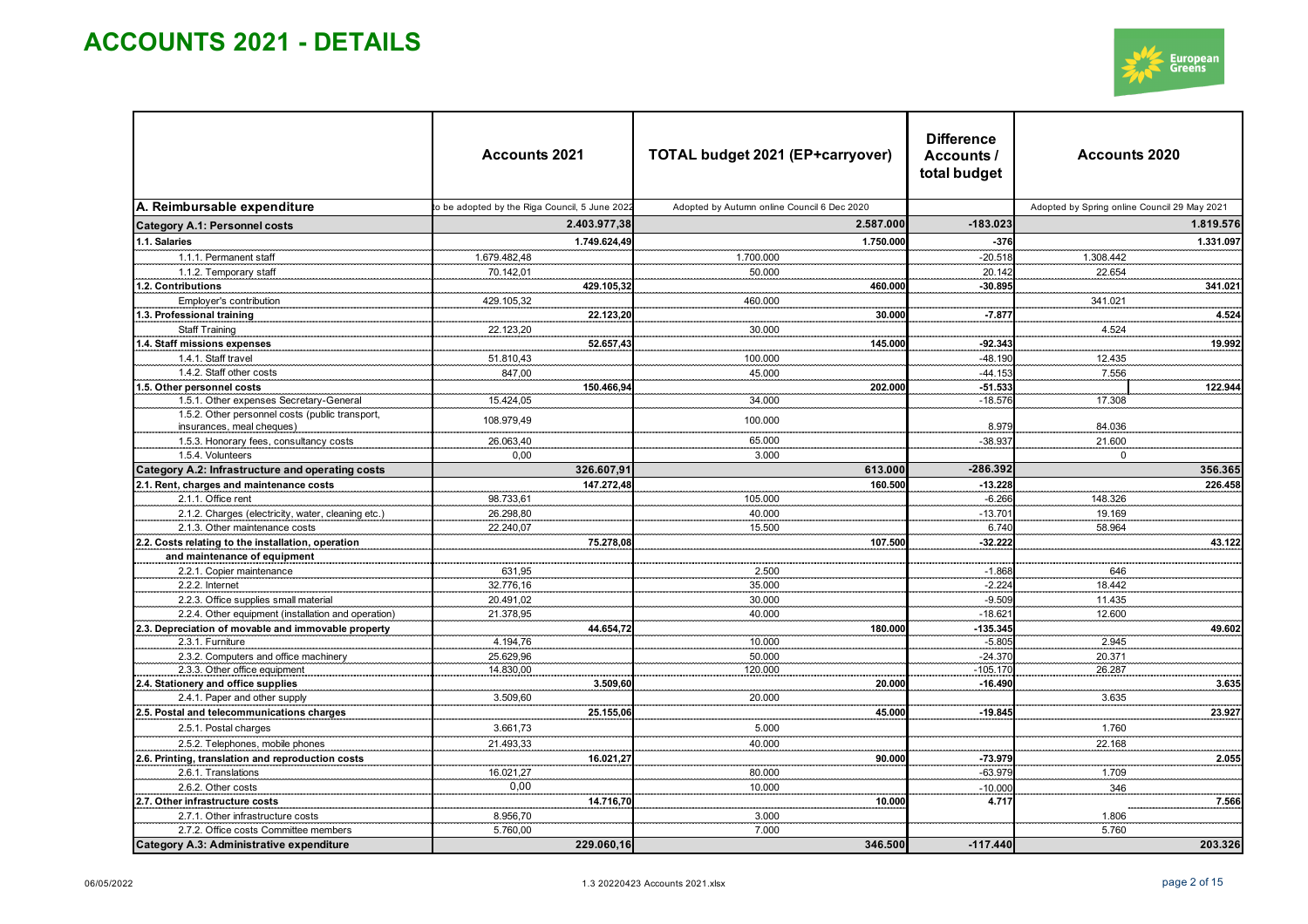

|                                                                                   | <b>Accounts 2021</b>                           |              | TOTAL budget 2021 (EP+carryover)            | <b>Difference</b><br>Accounts /<br>total budget | <b>Accounts 2020</b>                         |           |
|-----------------------------------------------------------------------------------|------------------------------------------------|--------------|---------------------------------------------|-------------------------------------------------|----------------------------------------------|-----------|
| A. Reimbursable expenditure                                                       | to be adopted by the Riga Council, 5 June 202: |              | Adopted by Autumn online Council 6 Dec 2020 |                                                 | Adopted by Spring online Council 29 May 2021 |           |
| <b>Category A.1: Personnel costs</b>                                              | 2.403.977,38                                   |              | 2.587.000                                   | $-183.023$                                      |                                              | 1.819.576 |
| 1.1. Salaries                                                                     |                                                | 1.749.624,49 | 1.750.000                                   | $-376$                                          |                                              | 1.331.097 |
| 1.1.1. Permanent staff                                                            | 1.679.482.48                                   |              | 1.700.000                                   | $-20.518$                                       | 1.308.442                                    |           |
| 1.1.2. Temporary staff                                                            | 70.142,01                                      |              | 50.000                                      | 20.142                                          | 22.654                                       |           |
| 1.2. Contributions                                                                |                                                | 429.105,32   | 460.000                                     | $-30.895$                                       |                                              | 341.021   |
| Employer's contribution                                                           | 429.105,32                                     |              | 460.000                                     |                                                 | 341.021                                      |           |
| 1.3. Professional training                                                        |                                                | 22.123,20    | 30.000                                      | $-7.87$                                         |                                              | 4.524     |
| <b>Staff Training</b>                                                             | 22.123,20                                      |              | 30.000                                      |                                                 | 4.524                                        | .         |
| 1.4. Staff missions expenses                                                      |                                                | 52.657,43    | 145.000                                     | $-92.34$                                        | an an an an an                               | 19.992    |
| 1.4.1. Staff travel                                                               | 51.810,43                                      |              | 100.000                                     | $-48.190$                                       | 12.435                                       |           |
| 1.4.2. Staff other costs                                                          | 847,00                                         |              | 45.000                                      | $-44.15$                                        | 7.556                                        |           |
| 1.5. Other personnel costs                                                        |                                                | 150.466,94   | 202.00                                      | $-51.53$                                        |                                              | 122.944   |
| 1.5.1. Other expenses Secretary-General                                           | 15.424,05                                      |              | 34.000                                      | $-18.576$                                       | 17.308                                       |           |
| 1.5.2. Other personnel costs (public transport,<br>insurances, meal cheques)      | 108.979,49                                     |              | 100.000                                     | 8.979                                           | 84.036                                       |           |
| 1.5.3. Honorary fees, consultancy costs                                           | 26.063,40                                      |              | 65.000                                      | $-38.937$                                       | 21.600                                       |           |
| 1.5.4. Volunteers                                                                 | 0,00                                           |              | 3.000                                       |                                                 | $\Omega$                                     |           |
| Category A.2: Infrastructure and operating costs                                  | 326.607,91                                     |              | 613.000                                     | $-286.392$                                      |                                              | 356.365   |
| 2.1. Rent, charges and maintenance costs                                          |                                                | 147.272,48   | 160.500                                     | $-13.228$                                       |                                              | 226.458   |
| 2.1.1. Office rent                                                                | 98.733,61                                      |              | 105.000                                     | $-6.266$                                        | 148.326                                      |           |
| 2.1.2. Charges (electricity, water, cleaning etc.)                                | 26.298,80                                      |              | 40.000                                      | $-13.70$                                        | 19.169                                       |           |
| 2.1.3. Other maintenance costs                                                    | 22.240,07                                      |              | 15.500                                      | 6.740                                           | 58.964                                       |           |
| 2.2. Costs relating to the installation, operation                                |                                                | 75.278,08    | 107.500                                     | $-32.222$                                       |                                              | 43.122    |
| and maintenance of equipment                                                      |                                                |              |                                             |                                                 | 11111                                        |           |
| 2.2.1. Copier maintenance                                                         | 631,95                                         |              | 2.500                                       | $-1.868$                                        | 646                                          |           |
| 2.2.2. Internet                                                                   | 32.776,16                                      |              | 35.000                                      | $-2.22$                                         | 18.442                                       |           |
| 2.2.3. Office supplies small material                                             | 20.491,02                                      |              | 30.000                                      | $-9.509$                                        | 11.435                                       |           |
| 2.2.4. Other equipment (installation and operation)                               | 21.378,95                                      |              | 40.000                                      | $-18.62$                                        | 12.600                                       |           |
| 2.3. Depreciation of movable and immovable property                               |                                                | 44.654,72    | 180.000                                     | $-135.345$                                      |                                              | 49.602    |
| 2.3.1. Furniture                                                                  | 4.194,76                                       |              | 10.000                                      | $-5.805$                                        | 2.945                                        |           |
| 2.3.2. Computers and office machinery                                             | 25.629,96                                      |              | 50.000                                      | $-24.370$                                       | 20.371                                       |           |
| 2.3.3. Other office equipment                                                     | 14.830,00                                      |              | 120.000                                     | $-105.170$                                      | 26.287                                       |           |
| 2.4. Stationery and office supplies                                               |                                                | 3.509.60     | 20,000                                      | $-16.490$                                       |                                              | 3.635     |
| 2.4.1. Paper and other supply<br>2.5. Postal and telecommunications charges       | 3.509,60                                       | 25.155,06    | 20.000<br>45.000                            | $-19.845$                                       | 3.635                                        | 23.927    |
|                                                                                   |                                                |              |                                             |                                                 |                                              |           |
| 2.5.1. Postal charges                                                             | 3.661,73                                       |              | 5.000                                       |                                                 | 1.760                                        |           |
| 2.5.2. Telephones, mobile phones                                                  | 21.493,33                                      |              | 40.000                                      |                                                 | 22.168                                       |           |
| 2.6. Printing, translation and reproduction costs                                 |                                                | 16.021,27    | 90.000                                      | $-73.979$                                       |                                              | 2.055     |
| 2.6.1. Translations                                                               | 16.021,27                                      |              | 80.000                                      | $-63.979$                                       | 1.709                                        |           |
| 2.6.2. Other costs                                                                | 0,00                                           |              | 10.000                                      | $-10.000$                                       | 346                                          |           |
| 2.7. Other infrastructure costs                                                   |                                                | 14.716,70    | 10.000                                      | 4.717                                           |                                              | 7.566     |
| 2.7.1. Other infrastructure costs                                                 | 8.956,70                                       |              | 3.000<br>7.000                              |                                                 | 1.806                                        |           |
| 2.7.2. Office costs Committee members<br>Category A.3: Administrative expenditure | 5.760,00                                       | 229.060,16   | 346.500                                     | $-117.440$                                      | 5.760                                        | 203.326   |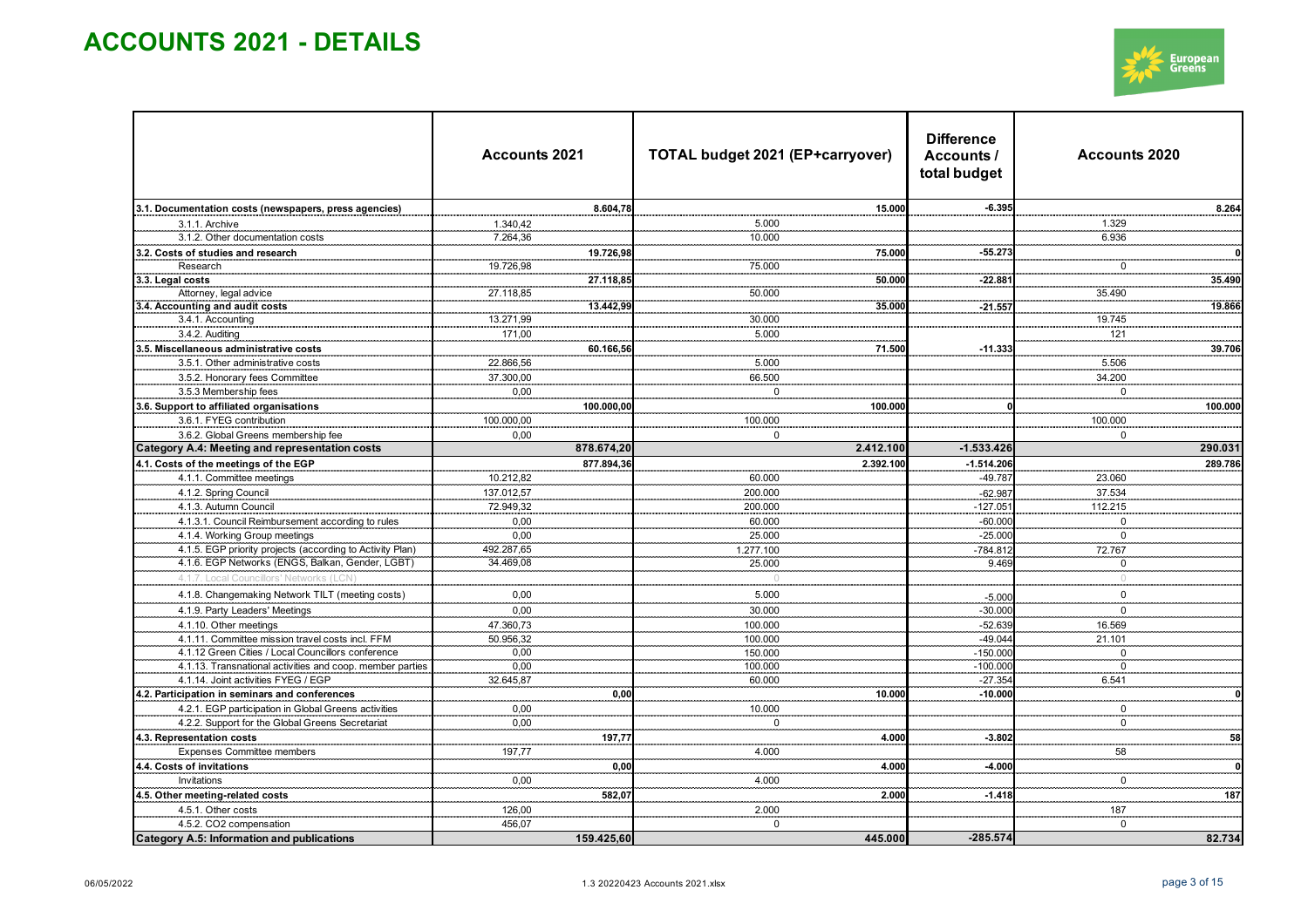

|                                                           | <b>Accounts 2021</b> |             | TOTAL budget 2021 (EP+carryover) | <b>Difference</b><br><b>Accounts 2020</b><br>Accounts /<br>total budget |                         |          |  |
|-----------------------------------------------------------|----------------------|-------------|----------------------------------|-------------------------------------------------------------------------|-------------------------|----------|--|
| 3.1. Documentation costs (newspapers, press agencies)     |                      | 8.604,78    | 15,000                           | $-6.395$                                                                |                         | 8.264    |  |
| 3.1.1. Archive                                            | 1.340,42             |             | 5.000                            |                                                                         | 1.329                   |          |  |
| 3.1.2. Other documentation costs                          | 7.264,36             |             | 10.000                           |                                                                         | 6.936                   |          |  |
| 3.2. Costs of studies and research                        |                      | 19.726,98   | 75.000<br>.                      | $-55.27$                                                                |                         |          |  |
| Research                                                  | 19.726,98            |             | 75.000                           |                                                                         | -0                      |          |  |
| 3.3. Legal costs                                          |                      | 27.118,85   | 50.000                           | $-22.88'$                                                               |                         | 35.490   |  |
| Attorney, legal advice                                    | 27.118,85            |             | 50.000                           |                                                                         | 35.490                  |          |  |
| 3.4. Accounting and audit costs                           |                      | 13.442,99   | 35.000<br>.                      | $-21.55$                                                                | .                       | 19.866   |  |
| 3.4.1. Accounting                                         | 13.271,99            |             | 30.000                           |                                                                         | 19.745                  |          |  |
| 3.4.2. Auditing                                           | 171.00               |             | 5.000                            |                                                                         | 121                     |          |  |
| 3.5. Miscellaneous administrative costs                   |                      | 60.166,56   | 71.500                           | $-11.33$                                                                |                         | 39.706   |  |
| 3.5.1. Other administrative costs                         | 22.866,56            |             | 5.000                            |                                                                         | 5.506                   |          |  |
| 3.5.2. Honorary fees Committee                            | 37.300,00            |             | 66.500                           |                                                                         | 34.200                  |          |  |
| 3.5.3 Membership fees                                     | 0,00                 |             | $\mathsf 0$                      |                                                                         | $\Omega$                |          |  |
| 3.6. Support to affiliated organisations                  |                      | 100.000,00  | 100.000                          |                                                                         |                         | 100.000  |  |
| 3.6.1. FYEG contribution                                  | 100.000,00           |             | 100.000                          |                                                                         | 100.000                 |          |  |
| 3.6.2. Global Greens membership fee                       | 0,00                 |             | $\mathbf 0$                      |                                                                         | $\mathbf 0$             |          |  |
| <b>Category A.4: Meeting and representation costs</b>     |                      | 878.674,20  | 2.412.100                        | $-1.533.426$                                                            |                         | 290.031  |  |
| 4.1. Costs of the meetings of the EGP                     |                      | 877.894,36  | 2.392.100                        | $-1.514.206$                                                            |                         | 289.786  |  |
| 4.1.1. Committee meetings                                 | 10.212,82            |             | 60.000                           | $-49.78$                                                                | 23.060                  |          |  |
| 4.1.2. Spring Council                                     | 137.012,57           |             | 200.000                          | $-62.98$                                                                | 37.534                  |          |  |
| 4.1.3. Autumn Council                                     | 72.949,32            |             | 200.000                          | $-127.05$                                                               | 112.215                 |          |  |
| 4.1.3.1. Council Reimbursement according to rules         | 0,00                 |             | 60.000                           | $-60.00$                                                                | $\pmb{0}$               |          |  |
| 4.1.4. Working Group meetings                             | 0,00                 |             | 25.000                           | $-25.000$                                                               | $\mathbf 0$             |          |  |
| 4.1.5. EGP priority projects (according to Activity Plan) | 492.287,65           |             | 1.277.100                        | $-784.812$                                                              | 72.767                  |          |  |
| 4.1.6. EGP Networks (ENGS, Balkan, Gender, LGBT)          | 34.469,08            |             | 25.000                           | 9.469                                                                   | $\overline{\mathbf{0}}$ |          |  |
| 4.1.7. Local Councillors' Networks (LCN                   |                      |             | $\cap$                           |                                                                         | $\overline{0}$          |          |  |
| 4.1.8. Changemaking Network TILT (meeting costs)          | 0,00                 |             | 5.000                            | $-5.00$                                                                 | $\mathbf 0$             |          |  |
| 4.1.9. Party Leaders' Meetings                            | 0,00                 |             | 30.000                           | $-30.000$                                                               | $\mathbf 0$             |          |  |
| 4.1.10. Other meetings                                    | 47.360,73            |             | 100.000                          | $-52.639$                                                               | 16.569                  |          |  |
| 4.1.11. Committee mission travel costs incl. FFM          | 50.956,32            |             | 100.000                          | $-49.044$                                                               | 21.101                  |          |  |
| 4.1.12 Green Cities / Local Councillors conference        | 0,00                 |             | 150.000                          | $-150.000$                                                              | $\mathbf 0$             |          |  |
| 4.1.13. Transnational activities and coop. member parties | 0,00                 |             | 100.000                          | $-100.000$                                                              | $\pmb{0}$               |          |  |
| 4.1.14. Joint activities FYEG / EGP                       | 32.645,87            |             | 60.000                           | $-27.35$                                                                | 6.541                   |          |  |
| 4.2. Participation in seminars and conferences            |                      | 0,00        | 10.000                           | $-10.000$                                                               |                         |          |  |
| 4.2.1. EGP participation in Global Greens activities      | 0,00                 |             | 10.000                           |                                                                         | $\mathbf 0$             |          |  |
| 4.2.2. Support for the Global Greens Secretariat          | $_{\rm 0,00}$        |             | $\Omega$                         |                                                                         | $\mathsf 0$             |          |  |
| 4.3. Representation costs                                 |                      | .<br>197,77 | 4.000                            | $-3.802$                                                                |                         | 58       |  |
| <b>Expenses Committee members</b>                         | <br>197,77           |             | 4.000                            |                                                                         | 58                      |          |  |
| 4.4. Costs of invitations                                 |                      | 0,00        | 4.000                            | $-4.000$                                                                |                         | $\Omega$ |  |
| Invitations                                               | 0,00                 |             | 4.000                            |                                                                         | $\mathbf 0$             |          |  |
| 4.5. Other meeting-related costs                          |                      | 582,07      | 2.000                            | $-1.418$                                                                |                         | 187      |  |
| 4.5.1. Other costs                                        | 126,00               |             | 2.000                            |                                                                         | 187                     |          |  |
| 4.5.2. CO2 compensation                                   | 456,07               |             | $\mathbf 0$                      |                                                                         | $\mathbf 0$             |          |  |
| Category A.5: Information and publications                |                      | 159.425,60  | 445.000                          | $-285.574$                                                              |                         | 82.734   |  |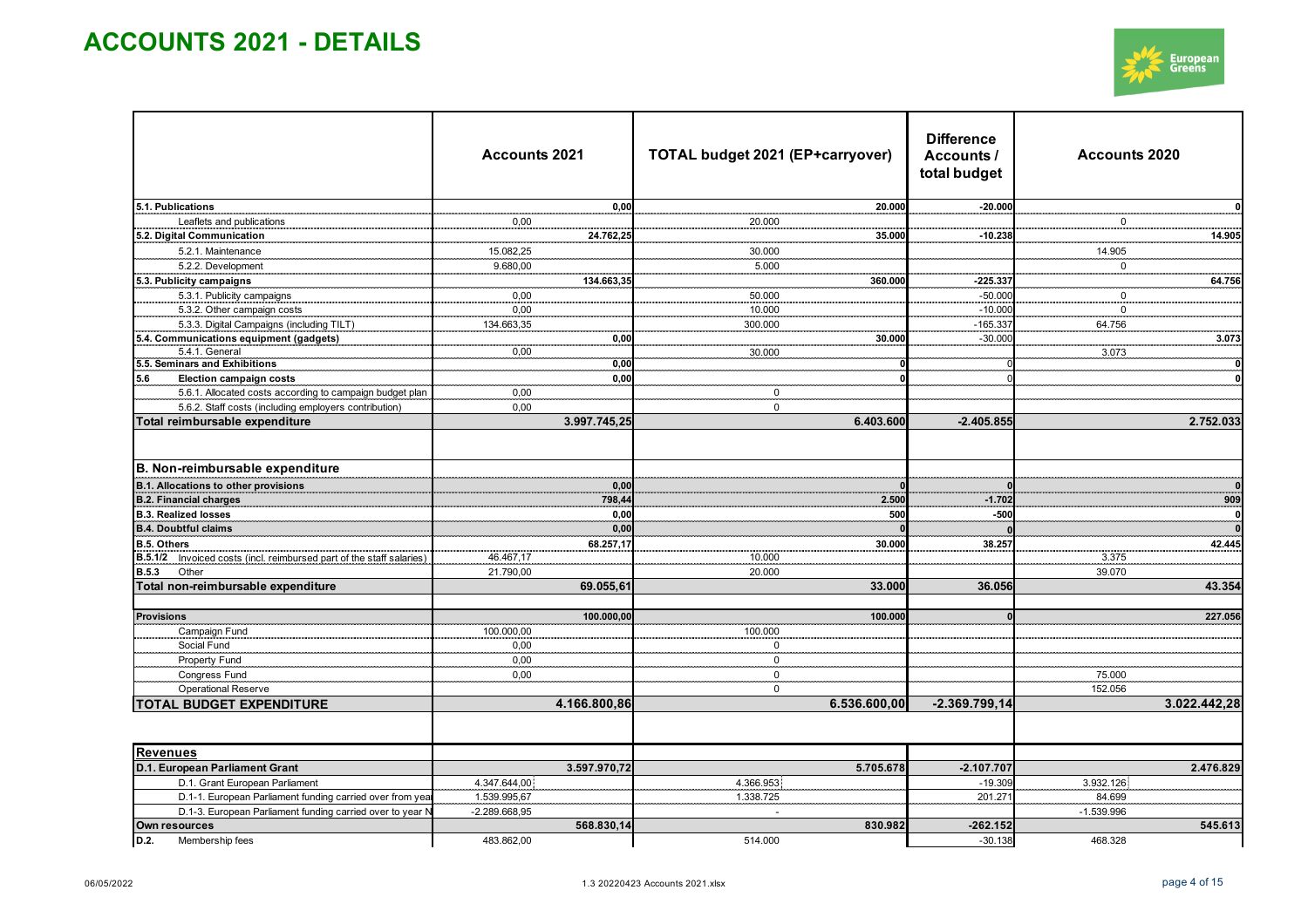

|                                                                      | <b>Accounts 2021</b>  |              | <b>Difference</b><br>Accounts /<br>total budget | <b>Accounts 2020</b> |
|----------------------------------------------------------------------|-----------------------|--------------|-------------------------------------------------|----------------------|
| 5.1. Publications                                                    | 0,00                  | 20.000       | $-20.000$                                       |                      |
| Leaflets and publications                                            | 0,00                  | 20.000       |                                                 | $\mathbf 0$          |
| 5.2. Digital Communication                                           | 24.762,2<br>.         | 35.000<br>.  | $-10.238$                                       | 14.905               |
| 5.2.1. Maintenance                                                   | 15.082,25             | 30.000       |                                                 | 14.905               |
| 5.2.2. Development                                                   | 9.680,00              | 5.000        |                                                 | $\mathbf 0$          |
| 5.3. Publicity campaigns                                             | 134.663,3             | 360.000<br>  | $-225.337$                                      | 64.756               |
| 5.3.1. Publicity campaigns                                           | 0,00                  | 50.000       | $-50.00$                                        | $\Omega$             |
| 5.3.2. Other campaign costs                                          | 0,00                  | 10.000       | $-10.00$                                        | $\Omega$             |
| 5.3.3. Digital Campaigns (including TILT)                            | 134.663,35            | 300.000      | $-165.33$                                       | 64.756               |
| 5.4. Communications equipment (gadgets)                              | $0,\!00$              | 30.000       | $-30.00$                                        | 3.073<br>.           |
| 5.4.1. General                                                       | 0,00                  | 30.000       |                                                 | 3.073                |
| 5.5. Seminars and Exhibitions                                        | 0.00                  |              |                                                 |                      |
| <b>Election campaign costs</b><br>5.6                                | 0,00                  |              |                                                 |                      |
| 5.6.1. Allocated costs according to campaign budget plan             | 0,00                  | $\bf{0}$     |                                                 |                      |
| 5.6.2. Staff costs (including employers contribution)                | 0,00                  | $\mathbf 0$  |                                                 |                      |
| Total reimbursable expenditure                                       | 3.997.745,25          | 6.403.600    | $-2.405.855$                                    | 2.752.033            |
| B. Non-reimbursable expenditure                                      |                       |              |                                                 |                      |
| <b>B.1. Allocations to other provisions</b>                          | 0,00                  |              |                                                 |                      |
| <b>B.2. Financial charges</b>                                        | 798,44                | 2.500        | $-1.702$                                        | 909                  |
| <b>B.3. Realized losses</b>                                          |                       | 500          | $-500$                                          |                      |
| <b>B.4. Doubtful claims</b>                                          | $0,00$<br>$0,00$<br>. |              |                                                 |                      |
| B.5. Others                                                          | 68.257,17             | 30.000       | 38.25                                           | 42.445               |
| B.5.1/2 Invoiced costs (incl. reimbursed part of the staff salaries) | 46.467,17             | 10.000       |                                                 | 3.375                |
| <b>B.5.3</b><br>Other                                                | 21.790,00             | 20.000       |                                                 | 39.070               |
| Total non-reimbursable expenditure                                   | 69.055,61             | 33.000       | 36.056                                          | 43.354               |
| <b>Provisions</b>                                                    | 100.000,00            | 100.000      |                                                 | 227.056              |
| Campaign Fund                                                        | 100.000,00            | 100.000      |                                                 |                      |
| Social Fund                                                          | 0,00                  | $\Omega$     |                                                 |                      |
| Property Fund                                                        | 0,00                  | 0            |                                                 |                      |
| Congress Fund                                                        | 0,00                  | $\mathbf 0$  |                                                 | 75.000               |
| Operational Reserve                                                  |                       | $\mathbf 0$  |                                                 | 152.056              |
| <b>TOTAL BUDGET EXPENDITURE</b>                                      | 4.166.800,86          | 6.536.600,00 | $-2.369.799,14$                                 | 3.022.442,28         |
|                                                                      |                       |              |                                                 |                      |
| <b>Revenues</b>                                                      |                       |              |                                                 |                      |
| D.1. European Parliament Grant                                       | 3.597.970,72          | 5.705.678    | $-2.107.70$                                     | 2.476.829            |
| D.1. Grant European Parliament                                       | 4.347.644,00          | 4.366.953    | $-19.309$                                       | 3.932.126            |
| D.1-1. European Parliament funding carried over from yea             | 1.539.995,67          | 1.338.725    | 201.27                                          | 84.699               |
| D.1-3. European Parliament funding carried over to year              | $-2.289.668,95$       |              |                                                 | $-1.539.996$         |
| Own resources                                                        | 568.830,14            | 830.982      | $-262.152$                                      | 545.613              |
| D.2.<br>Membership fees                                              | 483.862,00            | 514.000      | $-30.138$                                       | 468.328              |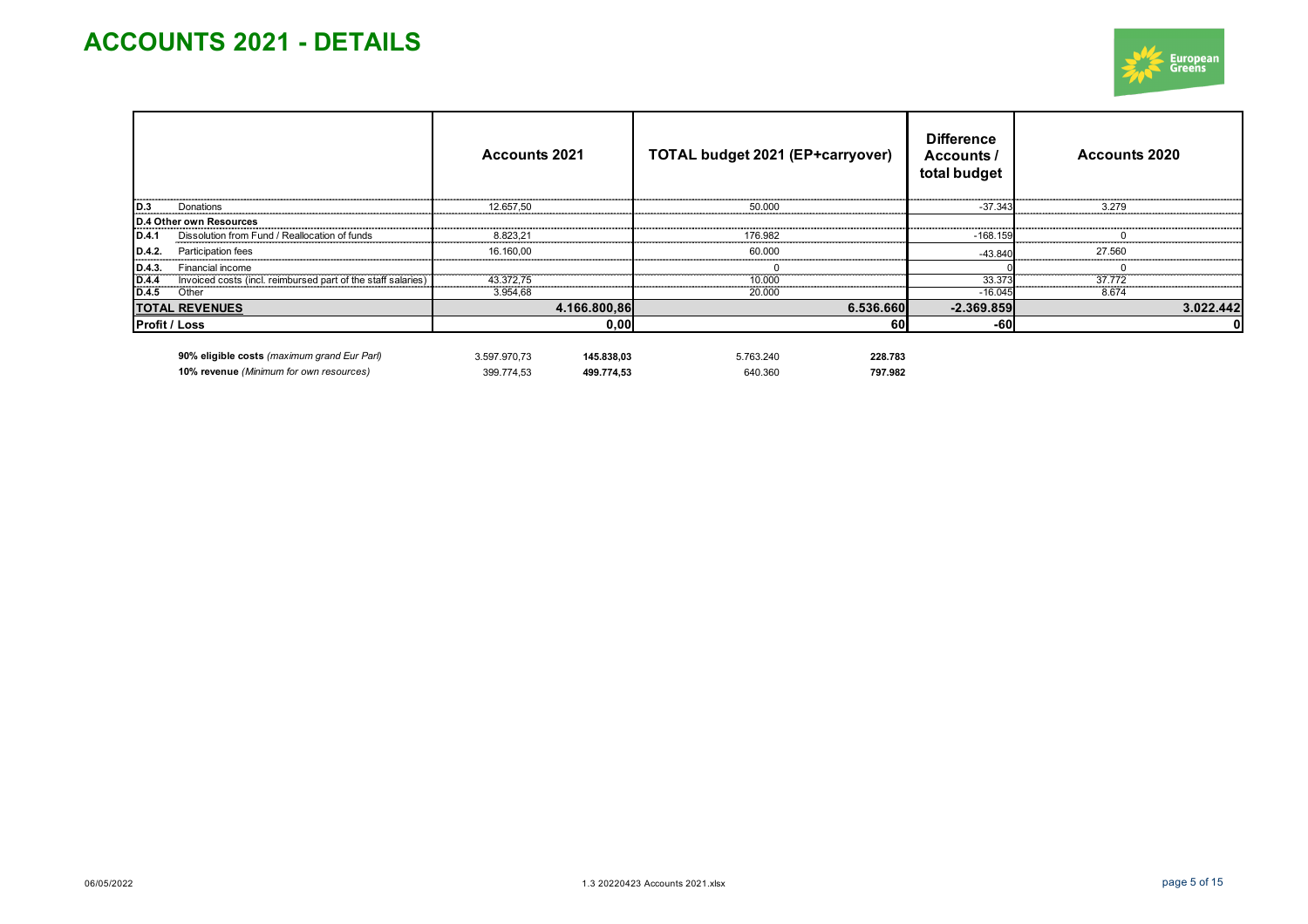

|                                |                                                              | <b>Accounts 2021</b>       | <b>TOTAL budget 2021 (EP+carryover)</b> | <b>Difference</b><br>Accounts /<br>total budget | <b>Accounts 2020</b> |  |
|--------------------------------|--------------------------------------------------------------|----------------------------|-----------------------------------------|-------------------------------------------------|----------------------|--|
| D.3                            | Donations                                                    | 12.657,50                  | 50.000                                  | $-37.343$                                       | 3.279                |  |
|                                | D.4 Other own Resources                                      |                            |                                         |                                                 |                      |  |
| ID.4.1                         | Dissolution from Fund / Reallocation of funds                | 8.823.21                   | 176.982                                 | $-168.159$                                      |                      |  |
| D.4.2                          | Participation fees                                           | 16.160.00                  | 60,000                                  | $-43.840$                                       | 27.560               |  |
|                                | Financial income                                             |                            |                                         |                                                 |                      |  |
| $D.4.3.$<br>$D.4.4$<br>$D.4.5$ | Invoiced costs (incl. reimbursed part of the staff salaries) | 43.372,75                  | 10.000                                  | 33.373                                          | 37.772               |  |
|                                | Other                                                        | 3.954,68                   | 20.000                                  | $-16.045$                                       | 8.674                |  |
|                                | <b>TOTAL REVENUES</b>                                        | 4.166.800,86               | 6.536.660                               | $-2.369.859$                                    | 3.022.442            |  |
|                                | <b>Profit / Loss</b>                                         |                            | 60I<br>0,00                             | -60                                             |                      |  |
|                                | 90% eligible costs (maximum grand Eur Parl)                  | 145.838.03<br>3.597.970.73 | 5.763.240<br>228.783                    |                                                 |                      |  |

**10% revenue** *(Minimum for own resources)* 399.774,53 **499.774,53** 640.360 **797.982**